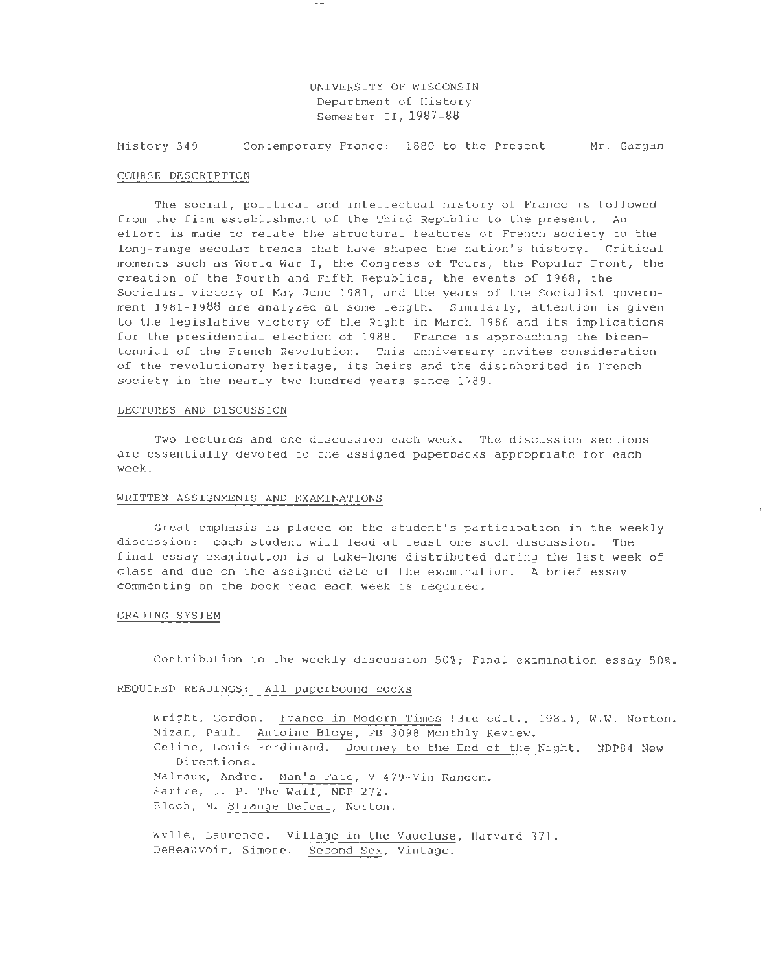### UNIVERSITY OF WISCONSIN Department of History Semester II, 1987-88

History 349 Contemporary France: 1880 to the Present Mr. Gargan

#### COURSE DESCRIPTION

The social, political and intellectual history of France is followed from the firm establishment of the Third Republic to the present. An effort is made to relate the structural features of French society to the long-range secular trends that have shaped the nation's history. Critical moments such as World War I, the Congress of Tours, the Popular Front, the creation of the Fourth and Fifth Republics, the events of 1968, the Socialist victory of May-June 1981, and the years of the Socialist government 1981-1988 are analyzed at some length. Similarly, attention is given to the legislative victory of the Right in March 1986 and its implications for the presidential election of 1988. France is approaching the bicentennial of the French Revolution. This anniversary invites consideration of the revolutionary heritage, its heirs and the disinherited in French society in the nearly two hundred years since 1789 .

### LECTURES AND DISCUSSION

Two lectures and one discussion each week. The discussion sections are essentially devoted to the assigned paperbacks appropriate for each week .

#### WRITTEN ASSIGNMENTS AND EXAMINATIONS

Great emphasis is placed on the student's participation in the weekly discussion: each student will lead at least one such discussion. The final essay examination is a take-home distributed during the last week of class and due on the assigned date of the examination . A brief essay commenting on the book read each week is required.

#### GRADING SYSTEM

Contribution to the weekly discussion 50%; Final examination essay 50%.

### REQUIRED READINGS: All paperbound books

Wright, Gordon. France in Modern Times (3rd edit., 1981), W.W. Norton. Nizan, Paul. Antoine Bloye, PB 3098 Monthly Review. Celine, Louis-Ferdinand. Journey to the End of the Night. NDP84 New Directions. Malraux, Andre. Man's Fate, V-479-Vin Random. Sartre, J. P. The Wall, NDP 272. Bloch, M. Strange Defeat, Norton. Wylle, Laurence. Village in the Vaucluse, Harvard 371.

DeBeauvoir, Simone. Second Sex, Vintage.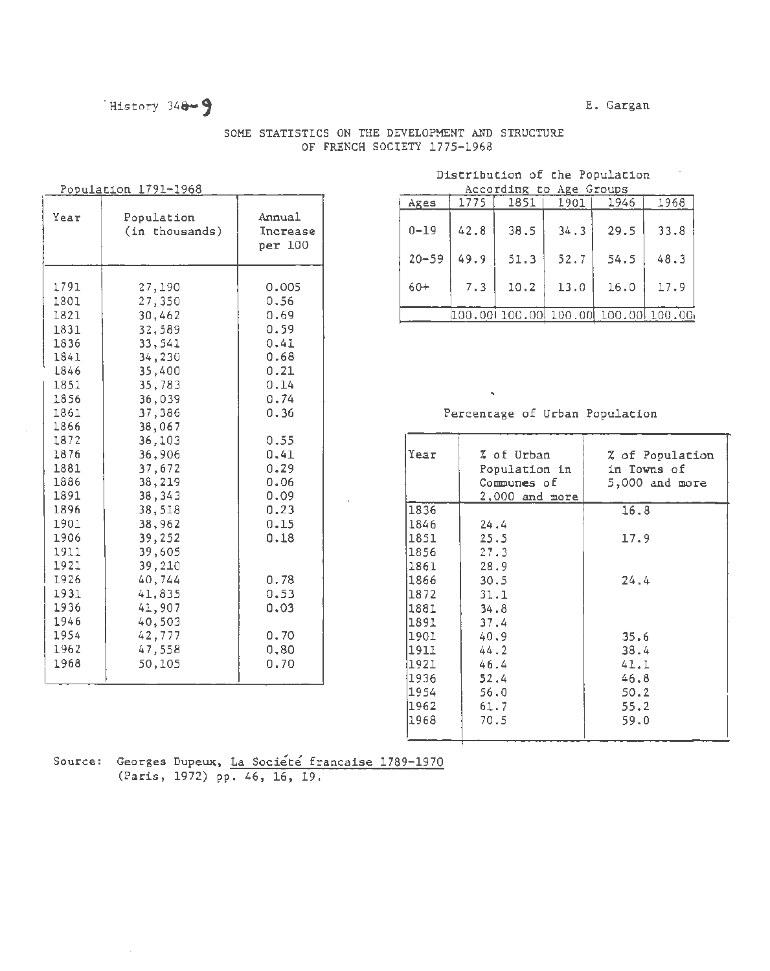### History 348-9

### E. Gargan

## SOME STATISTICS ON THE DEVELOPMENT AND STRUCTURE

OF FRENCH SOCIETY 1775-1968

Population 1791-1968

| Year                                                                                                                                                                                                         | Population<br>(in thousands)                                                                                                                                                                                                                                     | Annual<br>Increase<br>per 100                                                                                                                                                 |
|--------------------------------------------------------------------------------------------------------------------------------------------------------------------------------------------------------------|------------------------------------------------------------------------------------------------------------------------------------------------------------------------------------------------------------------------------------------------------------------|-------------------------------------------------------------------------------------------------------------------------------------------------------------------------------|
| 1791<br>1801<br>1821<br>1831<br>1836<br>1841<br>L846<br>1851<br>1856<br>1861<br>1866<br>1872<br>1876<br>1881<br>1886<br>1891<br>1896<br>1901<br>1906<br>1911<br>1921<br>1926<br>1931<br>1936<br>1946<br>1954 | 27,190<br>27,350<br>30,462<br>32,589<br>33,541<br>34,230<br>35,400<br>35,783<br>36,039<br>37,386<br>38,067<br>36,103<br>36,906<br>37,672<br>38,219<br>38,343<br>38,518<br>38,962<br>39,252<br>39,605<br>39,210<br>40,744<br>41,835<br>41,907<br>40,503<br>42,777 | 0.005<br>0.56<br>0.69<br>0.59<br>0.41<br>0.68<br>0.21<br>0.14<br>0.74<br>0.36<br>0.55<br>0.41<br>0.29<br>0.06<br>0.09<br>0.23<br>0.15<br>0.18<br>0.78<br>0.53<br>0.03<br>0,70 |
| 1962<br>1968                                                                                                                                                                                                 | 47,558<br>50,105                                                                                                                                                                                                                                                 | 0, 80<br>0.70                                                                                                                                                                 |

### Distribution of the Population

| According to Age Groups |      |      |      |                                         |      |  |  |  |  |  |
|-------------------------|------|------|------|-----------------------------------------|------|--|--|--|--|--|
| i Ages                  | 1775 | 1851 | 1901 | 1946                                    | 1968 |  |  |  |  |  |
| $0 - 19$                | 42.8 | 38.5 | 34.3 | 29.5                                    | 33.8 |  |  |  |  |  |
| $20 - 59$               | 49.9 | 51.3 | 52.7 | 54.5                                    | 48.3 |  |  |  |  |  |
| $60+$                   | 7.3  | 10.2 | 13.0 | 16.0                                    | 17.9 |  |  |  |  |  |
|                         |      |      |      | 100.001 100.001 100.001 100.001 100.001 |      |  |  |  |  |  |

### Percentage of Urban Population

| Year | % of Urban<br>Population in<br>Communes of<br>2,000 and more | % of Population<br>in Towns of<br>$5,000$ and more |
|------|--------------------------------------------------------------|----------------------------------------------------|
| 1836 |                                                              | 16.8                                               |
| 1846 | 24.4                                                         |                                                    |
| 1851 | 25.5                                                         | 17.9                                               |
| 1856 | 27.3                                                         |                                                    |
| 1861 | 28.9                                                         |                                                    |
| 1866 | 30.5                                                         | 24.4                                               |
| 1872 | 31.1                                                         |                                                    |
| 1881 | 34.8                                                         |                                                    |
| 1891 | 37.4                                                         |                                                    |
| 1901 | 40.9                                                         | 35.6                                               |
| 1911 | 44.2                                                         | 38.4                                               |
| 1921 | 46.4                                                         | 41.I                                               |
| 1936 | 52.4                                                         | 46.8                                               |
| 1954 | 56.0                                                         | 50.2                                               |
| 1962 | 61.7                                                         | 55.2                                               |
| 1968 | 70.5                                                         | 59.0                                               |
|      |                                                              |                                                    |

Source: Georges Dupeux, La Société francaise 1789-1970 (Paris, 1972) pp. 46, 16, 19.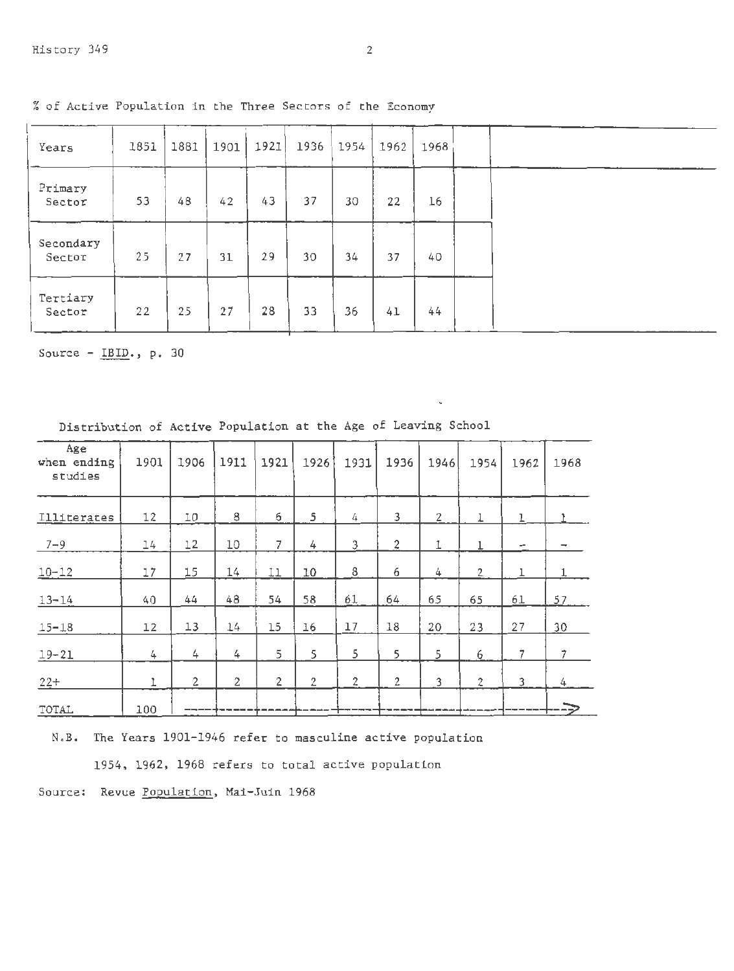| Years               | 1851 | 1881 | 1901 | 1921 | 1936 | 1954 | 1962 | 1968 |  |
|---------------------|------|------|------|------|------|------|------|------|--|
| Primary<br>Sector   | 53   | 48   | 42   | 43   | 37   | 30   | 22   | 16   |  |
| Secondary<br>Sector | 25   | 27   | 31   | 29   | 30   | 34   | 37   | 40   |  |
| Tertiary<br>Sector  | 22   | 25   | 27   | 28   | 33   | 36   | 41   | 44   |  |

% of Active Population in the Three Sectors of the Economy

Source- IBID., p. 30

| Age<br>when ending<br>studies | 1901 | 1906       | 1911           | 1921           | 1926           | 1931           | 1936           | 1946           | 1954           | 1962 | 1968                     |
|-------------------------------|------|------------|----------------|----------------|----------------|----------------|----------------|----------------|----------------|------|--------------------------|
| Illiterates                   | 12   | I0         | 8              | 6              | 5              | 4              | 3              | $\overline{2}$ |                | ı    |                          |
| $7 - 9$                       | 14   | 12         | 10             | $\overline{7}$ | 4              | 3              | $\overline{2}$ | 1              | ı              | -    | $\overline{\phantom{a}}$ |
| $10 - 12$                     | I7   | 15         | 14             | 11             | 10             | 8              | 6              | 4              | $\overline{2}$ | 1    | 1                        |
| $13 - 14$                     | 40   | 44         | 48             | 54             | 58             | 61             | 64             | 65             | 65             | 61   | 57.                      |
| $15 - 18$                     | 12   | 13         | 14             | 15             | 16             | 17             | 18             | 20             | 23             | 27   | 30                       |
| $19 - 21$                     | 4    | 4          | 4              | 5              | 5              | 5              | 5              | 5              | 6              | 7    | $\overline{7}$           |
| $22+$                         | ı    | $\sqrt{2}$ | $\overline{2}$ | $\overline{2}$ | $\overline{2}$ | $\overline{2}$ | $\overline{c}$ | 3              | $\overline{2}$ | 3    | 4                        |
| TOTAL                         | 100  |            |                |                |                |                |                |                |                |      |                          |

Distribution of Active Population at the Age of Leaving School

N.B. The Years 1901-1946 refer to masculine active population

1954, 1962, 1968 refers to total active population

Source: Revue Population, Mai-Juin 1968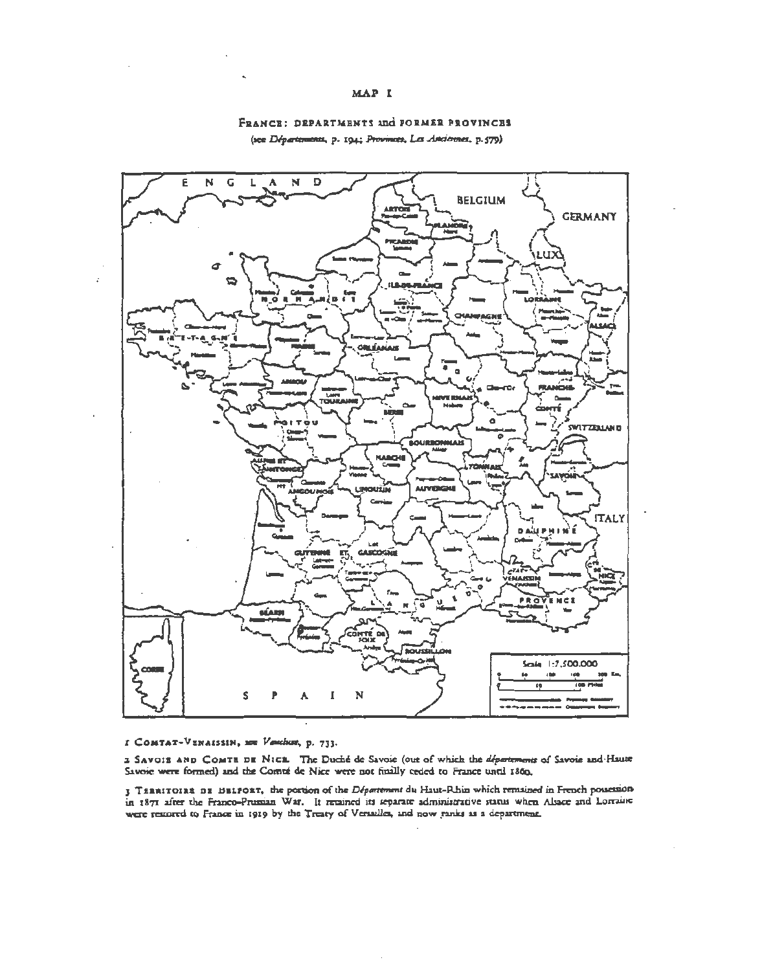### MAP I



### FRANCE: DEPARTMENTS and FORMER PROVINCES (see Départements, p. 194; Provinces, Les Anciennes, p.579).

I COMTAT-VENAISSIN, New Vescher, p. 733.

2 SAVOIS AND COMTE DE NICE. The Duché de Savoie (out of which the departments of Savoie and Haute Savoie were formed) and the Comté de Nice were not finally reded to France until 1860.

3 TERRITOIRS DE BELFORT, the portion of the Départment du Haut-Rhin which remained in French possession in 1871 after the Franco-Prussian War. It retained its separate administrative status when Alsace and Lorraine were removed to France in 1919 by the Treaty of Versailes, and now ranks as a department.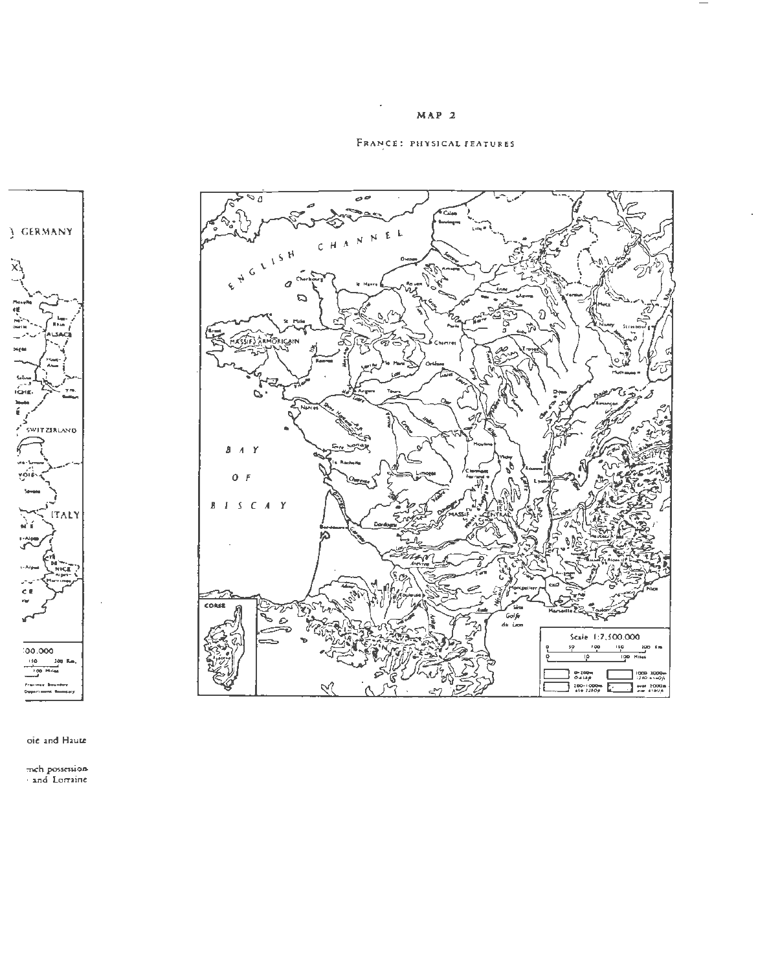

FRANCE: PHYSICAL FEATURES



oie and Haute

mch possession<br>and Lorraine

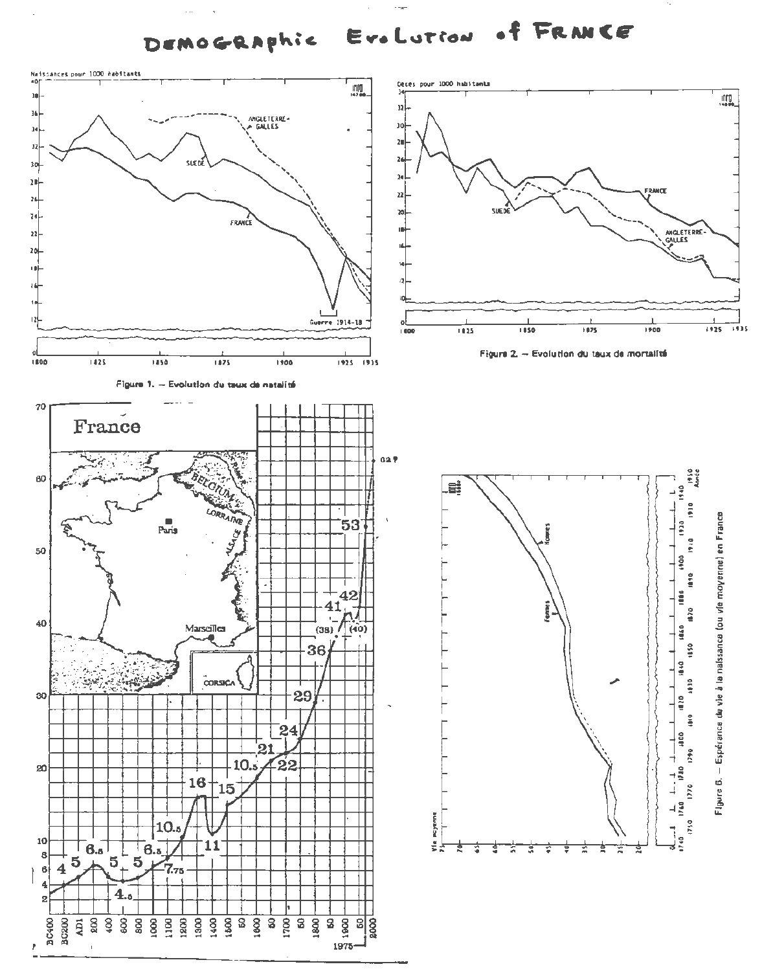f FRANCE Era Lution DEMOGRAPhic

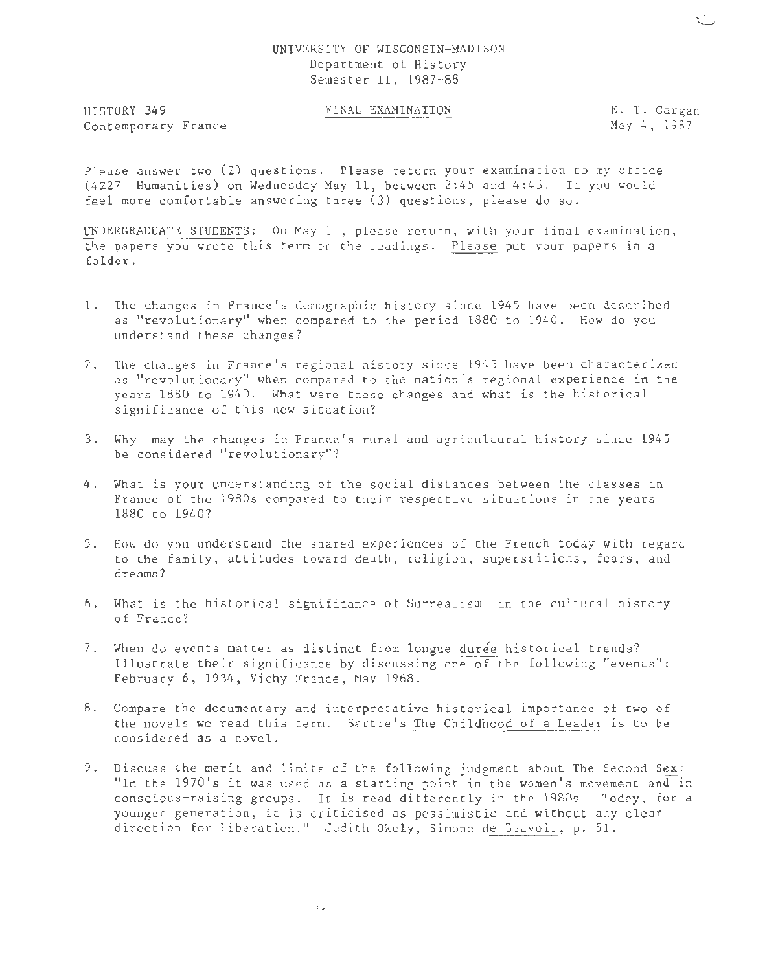### UNIVERSITY OF WISCONSIN-MADISON Department of History Semester II, 1987-88

HISTORY 349 Contemporary France

### FINAL EXAMINATION E. T. Gargan

May 4, 1987

Please answer two (2) questions . Please return your examination to my office (4227 Humanities) on Wednesday May 11, between 2:45 and 4:45. If you would feel more comfortable answering three (3) questions, please do so.

UNDERGRADUATE STUDENTS: On May 11, please return, with your final examination, the papers you wrote this term on the readings. Please put your papers in a folder.

- l. The changes in France's demographic history since 1945 have been described as "revolutionary" when compared to the period 1880 to 1940. How do you understand these changes?
- 2. The changes in France's regional history since 1945 have been characterized as "revolutionary" when compared to the nation's regional experience in the years 1880 to 1940. What were these changes and what is the historical significance of this new situation?
- 3. Why may the changes in France's rural and agricultural history since 1945 be considered "revolutionary"?
- 4. What is your understanding of the social distances between the classes in France of the 1980s compared to their respective situations in the years 1880 to 1940?
- 5. How do you understand the shared experiences of the French today with regard to the family, attitudes toward death, religion, superstitions, fears, and dreams?
- 6. What is the historical significance of Surrealism in the cultural history of France?
- 7. When do events matter as distinct from longue durée historical trends? Illustrate their significance by discussing one of the following "events": February 6, 1934, Vichy France, May 1968.
- 8. Compare the documentary and interpretative historical importance of two of the novels we read this term. Sartre's The Childhood of a Leader is to be considered as *a* novel.
- 9. Discuss the merit and limits of the following judgment about The Second Sex: "In the 1970's it was used as a starting point in the women's movement and in conscious-raising groups. It is read differently in the 1980s. Today, for a younger generation, it is criticised as pessimistic and without any clear direction for liberation." Judith Okely, Simone de Beavoir, p. 51.

 $\sim$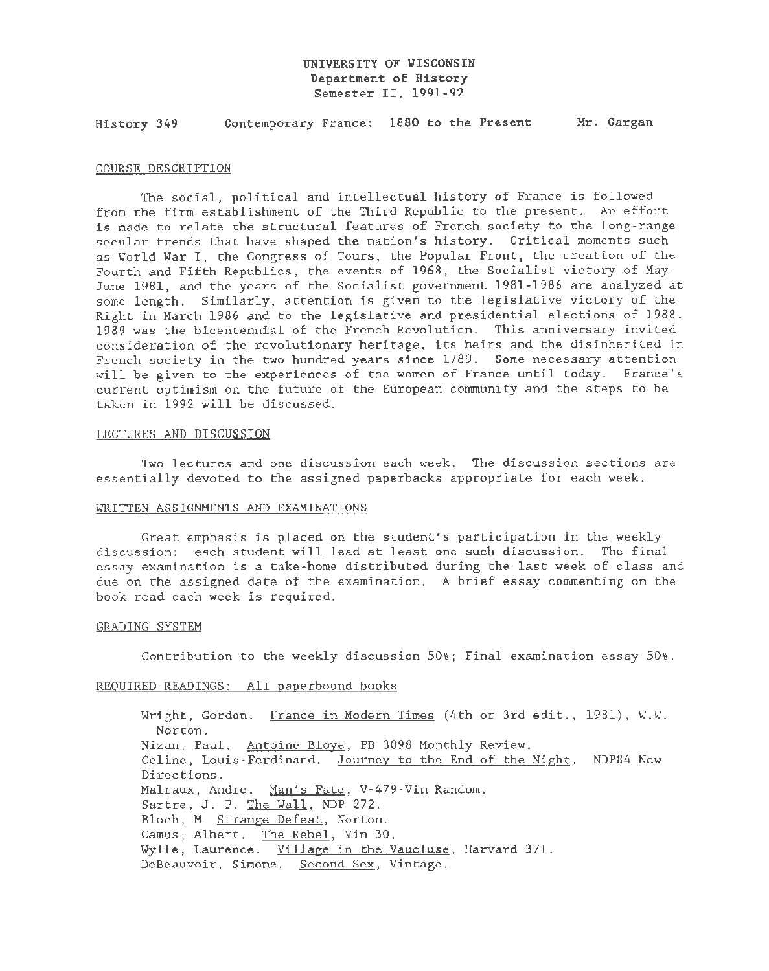### UNIVERSITY OF WISCONSIN Department of History Semester II, 1991-92

History 349 Contemporary France: 1880 to the Present Mr. Gargan

#### COURSE DESCRIPTION

The social, political and intellectual history of France is followed from the firm establishment of the Third Republic to the present. An effort is made to relate the structural features of French society to the long-range secular trends that have shaped the nation's history. Critical moments such as World War I, the Congress of Tours, the Popular Front, the creation of the Fourth and Fifth Republics, the events of 1968, the Socialist victory of May-June 1981, and the years of the Socialist government 1981-1986 are analyzed at some length. Similarly, attention is given to the legislative victory of the Right in March 1986 and to the legislative and presidential elections of 1988. 1989 was the bicentennial of the French Revolution. This anniversary invited consideration of the revolutionary heritage, its heirs and the disinherited in French society in the two hundred years since 1789. Some necessary attention will be given to the experiences of the women of France until today. France's current optimism on the future of the European community and the steps to be taken in 1992 will be discussed.

### LECTURES AND DISCUSSION

Two lectures and one discussion each week. The discussion sections are essentially devoted to the assigned paperbacks appropriate for each week.

### WRITTEN ASSIGNMENTS AND EXAMINATIONS

Great emphasis is placed on the student's participation in the weekly discussion: each student will lead at least one such discussion. The final essay examination is a take-home distributed during the last week of class and due on the assigned date of the examination. A brief essay commenting on the book read each week is required.

### GRADING SYSTEM

Contribution to the weekly discussion 50%; Final examination essay 50%.

### REQUIRED READINGS: All paperbound books

Wright, Gordon. France in Modern Times (4th or 3rd edit., 1981), W.W. Norton. Nizan, Paul. Antoine Bloye, PB 3098 Monthly Review. Celine, Louis-Ferdinand. Journey to the End of the Night. NDP84 New Directions. Malraux, Andre. Man's Fate, V-479-Vin Random. Sartre, J. P. The Wall, NDP 272. Bloch, M. Strange Defeat, Norton. Camus, Albert. The Rebel, Vin 30. Wylle, Laurence. Village in the Vaucluse, Harvard 371. DeBeauvoir, Simone. Second Sex, Vintage.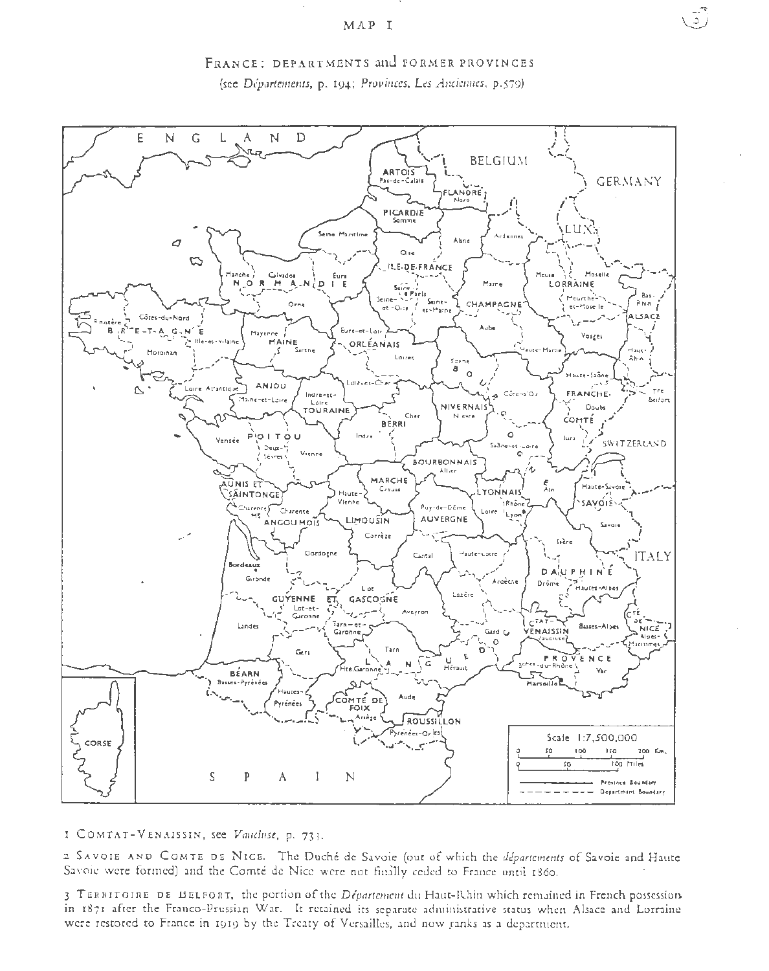

FRANCE: DEPARTMENTS and FORMER PROVINCES (see Départements, p. 194; Provinces, Les Anciennes, p.579).

I COMTAT-VENAISSIN, see Vauchise, p. 733.

2 SAVOIE AND COMTE DE NICE. The Duché de Savoie (out of which the departements of Savoie and Haute Savoie were formed) and the Comté de Nice were not finally ceded to France until 1860.

3 TERRITOIRE DE BELFORT, the portion of the Département du Haut-Rhin which remained in French possession. in 1871 after the Franco-Prussian War. It retained its separate administrative status when Alsace and Lorraine were restored to France in 1919 by the Treaty of Versailles, and now ranks as a department.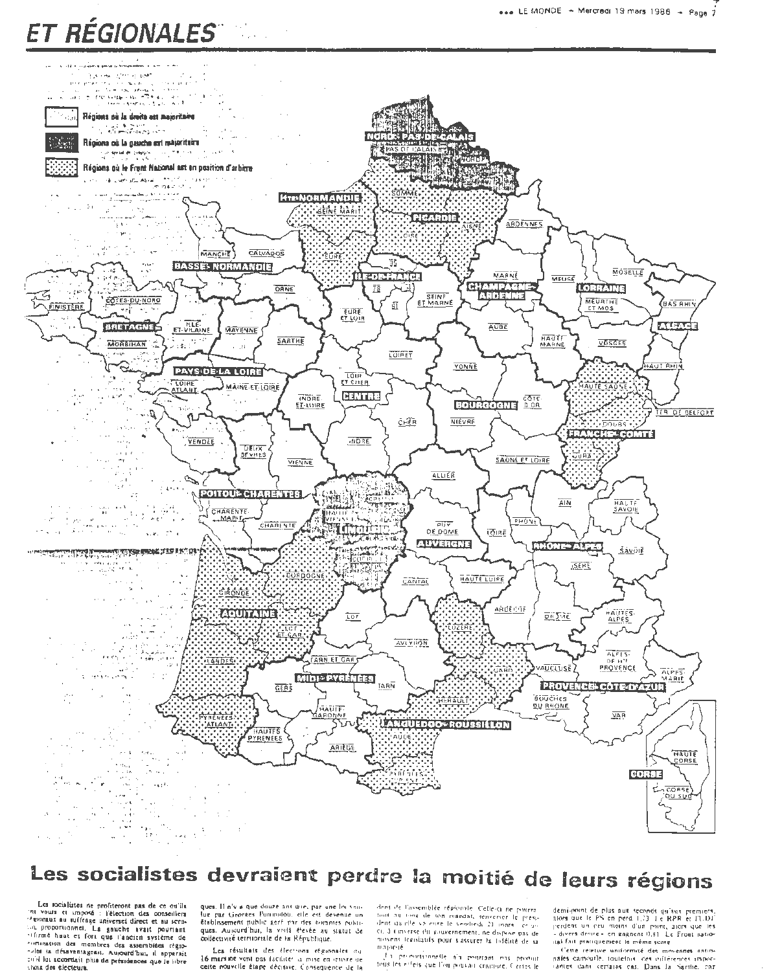# ET RÉGIONALES



## Les socialistes devraient perdre la moitié de leurs régions

Les socialistes ne profiteront pas de ce ou'ils<br>'nt voutu et imposé : l'élection des conseillers<br>:4 tionaux au suffrage universet direct et au scritsomewhere we will be gauche avait pouriant<br>filme haat et fort que l'ancien système de<br>"ilfime haat et fort que l'ancien système de<br>"ilfime haat et fort que l'ancien sessemblées régiotuil lui accordait plus de présidences que le libre hosa des electeurs.

ques. Il n'e il que douze ant que, par une loi venlue par Georges Pummitou, ette est devenue un établissement public geré par des hommes publi ques. Autourd'hui, la vivilà éterée au siatut de collectivité territoriale de la République.

Les résultats des élections régionales cu 16 mars are vont pas facilités la mise en leuvre de cette nouvelle étape décisive. Consequence de la

dent de l'assemblée régionale. Celle-ci ne pourra fout au tong de son mandat, tenverser le présici. à timierse du gouvernement, ne dispose pas de went terminally pour vasturer la tolelaté de sa пологие.

the premiumently an pourism are possible tous les effets que l'ou pouvait cristière. Certes le demi-point de plus aux seconds qu'aux premiers.<br>Ilors que le PS en perd 1,73 de RPR et l'UDI<br>J'erdent un peu moins d'un point, aign que les<br>Celes droire « en gagnent 0,81 Le Front natioital fait praciquement le même score

Cette reintive uniformaté des movennes antio-<br>naies camoutle, toutelais, des inflérences impor-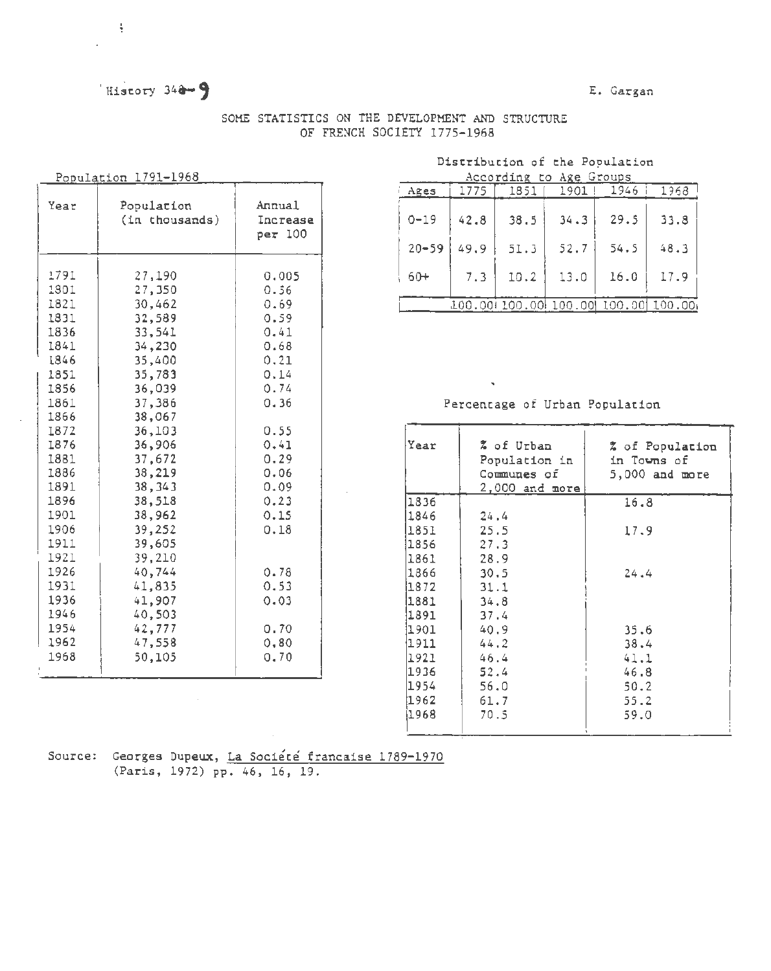### History 348-9

### E. Gargan

| SOME STATISTICS ON THE DEVELOPMENT AND STRUCTURE |                             |  |  |
|--------------------------------------------------|-----------------------------|--|--|
|                                                  | OF FRENCH SOCIETY 1775-1968 |  |  |

| Population 1791-1968 |  |
|----------------------|--|
|                      |  |

 $\frac{1}{2}$  $\overline{a}$ 

| Year         | Population<br>(in thousands) | Annual<br>Increase<br>per 100 |
|--------------|------------------------------|-------------------------------|
| 1791         | 27,190                       | 0.005                         |
| 1301         | 27,350                       | 0.56                          |
| 1821         | 30,462                       | 0.69                          |
| 1831         | 32,589                       | 0.59                          |
| 1836         | 33,541                       | 0.41                          |
| 1841<br>I    | 34,230                       | 0.68                          |
| 1846         | 35,400                       | 0.21                          |
| 1851<br>I    | 35,783                       | 0.14                          |
| 1856         | 36,039                       | 0.74                          |
| 1861         | 37,386                       | 0.36                          |
| 1866         | 38,067                       |                               |
| 1872         | 36,103                       | 0.55                          |
| 1876         | 36,906                       | 0.41                          |
| 1881         | 37,672                       | 0.29                          |
| 1886         | 38,219                       | 0.06                          |
| 1891         | 38,343                       | 0.09                          |
| 1896         | 38,518                       | 0.23                          |
| 1901         | 38,962                       | 0.15                          |
| 1906<br>1911 | 39,252<br>39,605             | 0.18                          |
| 1921         | 39,210                       |                               |
| 1926         | 40,744                       | 0.78                          |
| 1931         | 41,835                       | 0.53                          |
| 1936         | 41,907                       | 0.03                          |
| 1946         | 40,503                       |                               |
| 1954         | 42,777                       | 0.70                          |
| 1962         | 47,558                       | 0, 80                         |
| 1968         | 50,105                       | 0.70                          |
|              |                              |                               |

### Distribution of the Population

|                               |           |      |      | According to Age Groups |                                     |      |
|-------------------------------|-----------|------|------|-------------------------|-------------------------------------|------|
|                               | Ages      | 1775 | 1851 | 1901                    | 1946                                | 1968 |
| Annual<br>Increase<br>per 100 | $0 - 19$  | 42.8 | 38.5 | 34.3                    | 29.5                                | 33.8 |
|                               | $20 - 59$ | 49.9 | 51.3 | 52.7                    | 54.5                                | 48.3 |
| 0.005<br>0.56                 | $60+$     | 7.3  | 10.2 | 13.0                    | 16.0                                | 17.9 |
| 0.69                          |           |      |      |                         | 100.00+100.00+100.00+100.00+100.00+ |      |

### Percentage of Urban Population

 $\tilde{\phantom{a}}$ 

| 0.55 |       |                  |                  |
|------|-------|------------------|------------------|
| 0.41 | Year  | % of Urban       | % of Population  |
| 0.29 |       | Population in    | in Towns of      |
| 0.06 |       | Communes of      | $5,000$ and more |
| 0.09 |       | $2,000$ and more |                  |
| 0.23 | 1836  |                  | 16.8             |
| 0.15 | 1846  | 24.4             |                  |
| 0.18 | 1851  | 25.5             | 17.9             |
|      | 1856  | 27.3             |                  |
|      | 1861  | 28.9             |                  |
| 0.78 | 1866  | 30.5             | 24.4             |
| 0.53 | 1872  | 31.1             |                  |
| 0.03 | 1881  | 34.8             |                  |
|      | 1891  | 37.4             |                  |
| 0.70 | 1901  | 40.9             | 35.6             |
| 0,80 | 1911  | 44.2             | 38.4             |
| 0.70 | 1921  | 46.4             | 41.1             |
|      | 1936  | 52.4             | 46.8             |
|      | 1954  | 56.0             | 50.2             |
|      | 1962  | 61.7             | 55.2             |
|      | 1968) | 70.5             | 59.0             |
|      |       |                  |                  |

Source: Georges Dupeux, La Société francaise 1789-1970 (Paris, 1972) pp. 46, 16, 19.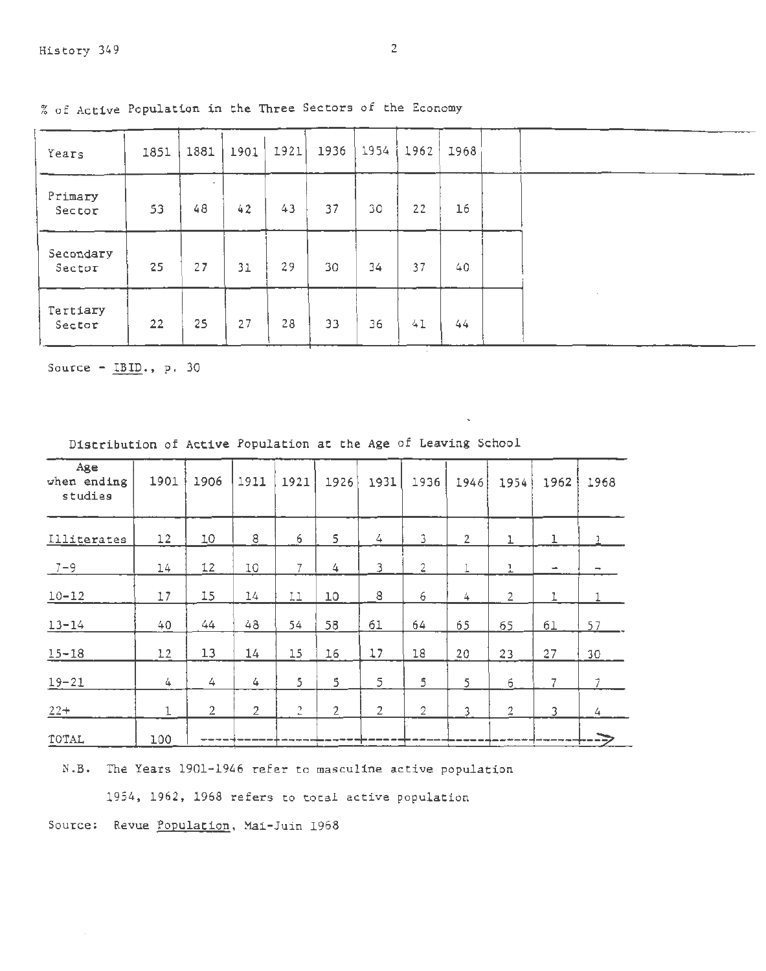| Years               | 1851 | 1881                           | 1901 | 1921 | 1936 | 1954 | 1962 | 1968 |  |
|---------------------|------|--------------------------------|------|------|------|------|------|------|--|
| Primary<br>Sector   | 53   | $\overline{\phantom{a}}$<br>48 | 42   | 43   | 37   | 30   | 22   | 16   |  |
| Secondary<br>Sector | 25   | 27                             | 31   | 29   | 30   | 34   | 37   | 40   |  |
| Tertiary<br>Sector  | 22   | 25                             | 27   | 28   | 33   | 36   | 41   | 44   |  |

r. of Active Population in the Three Sectors of the Economy

Source -  $IBID.$ , p. 30

| Distribution of Active Population at the Age of Leaving School |  |  |  |  |  |  |  |  |  |
|----------------------------------------------------------------|--|--|--|--|--|--|--|--|--|
|----------------------------------------------------------------|--|--|--|--|--|--|--|--|--|

| Age<br>when ending<br>studies | 1901  | 1906           | 1911         | 1921           | 1926           | 1931           | 1936           | 1946           | 1954           | 1962                     | 1968                     |
|-------------------------------|-------|----------------|--------------|----------------|----------------|----------------|----------------|----------------|----------------|--------------------------|--------------------------|
| Illiterates                   | 12    | 10             | 8            | б              | 5              | 4              | 3              | $\overline{2}$ |                | 1                        |                          |
| $7 - 9$                       | 14    | 12             | 10           | $\overline{7}$ | 4              | 3              | $\overline{2}$ | 1              | $\overline{1}$ | $\overline{\phantom{a}}$ | $\overline{\phantom{a}}$ |
| $10 - 12$                     | 17    | 15             | $14\,$       | 11             | 10             | $\bf 8$        | 6              | 4              | $\overline{2}$ | l                        |                          |
| $13 - 14$                     | 40    | 44             | 48           | 54             | 58             | 61             | 64             | 65             | 65             | 61                       | 57                       |
| $15 - 18$                     | 12    | 13             | 14           | 15             | 16             | 17             | 18             | 20             | 23             | 27                       | 30                       |
| $19 - 21$                     | 4     | 4              | 4            | 5              | 5              | 5              | 5              | 5              | 6              | 7                        | 7                        |
| $22+$                         | $1\,$ | $\overline{2}$ | $\mathbf{2}$ | $\tilde{c}$    | $\overline{2}$ | $\overline{2}$ | $\sqrt{2}$     | 3              | $\overline{2}$ | 3                        | 4                        |
| TOTAL                         | 100   |                |              |                |                |                |                |                |                |                          | ----                     |

N.B. The Years 1901-1946 refer to masculine active population

1954, 1962, 1968 refers to total active population

Source: Revue Population, Mai-Juin 1968